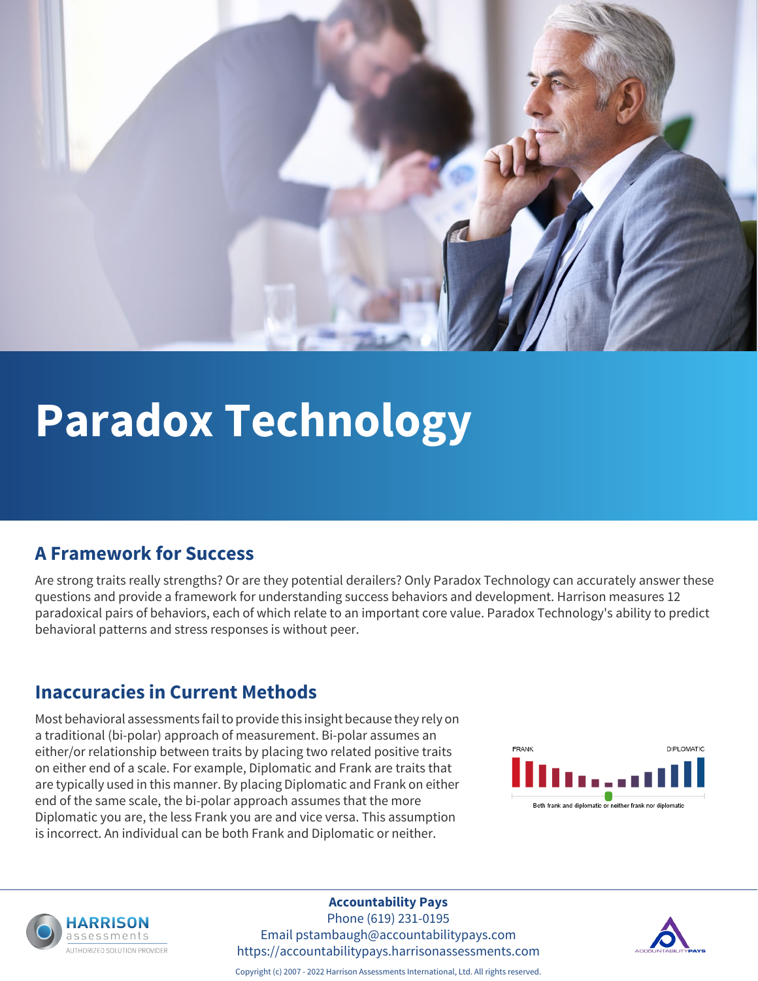

# **Paradox Technology**

#### **A Framework for Success**

Are strong traits really strengths? Or are they potential derailers? Only Paradox Technology can accurately answer these questions and provide a framework for understanding success behaviors and development. Harrison measures 12 paradoxical pairs of behaviors, each of which relate to an important core value. Paradox Technology's ability to predict behavioral patterns and stress responses is without peer.

#### **Inaccuracies in Current Methods**

Most behavioral assessments fail to provide this insight because they rely on a traditional (bi-polar) approach of measurement. Bi-polar assumes an either/or relationship between traits by placing two related positive traits on either end of a scale. For example, Diplomatic and Frank are traits that are typically used in this manner. By placing Diplomatic and Frank on either end of the same scale, the bi-polar approach assumes that the more Diplomatic you are, the less Frank you are and vice versa. This assumption is incorrect. An individual can be both Frank and Diplomatic or neither.





#### **Accountability Pays**

Phone (619) 231-0195 Email pstambaugh@accountabilitypays.com https://accountabilitypays.harrisonassessments.com



Copyright (c) 2007 - 2022 Harrison Assessments International, Ltd. All rights reserved.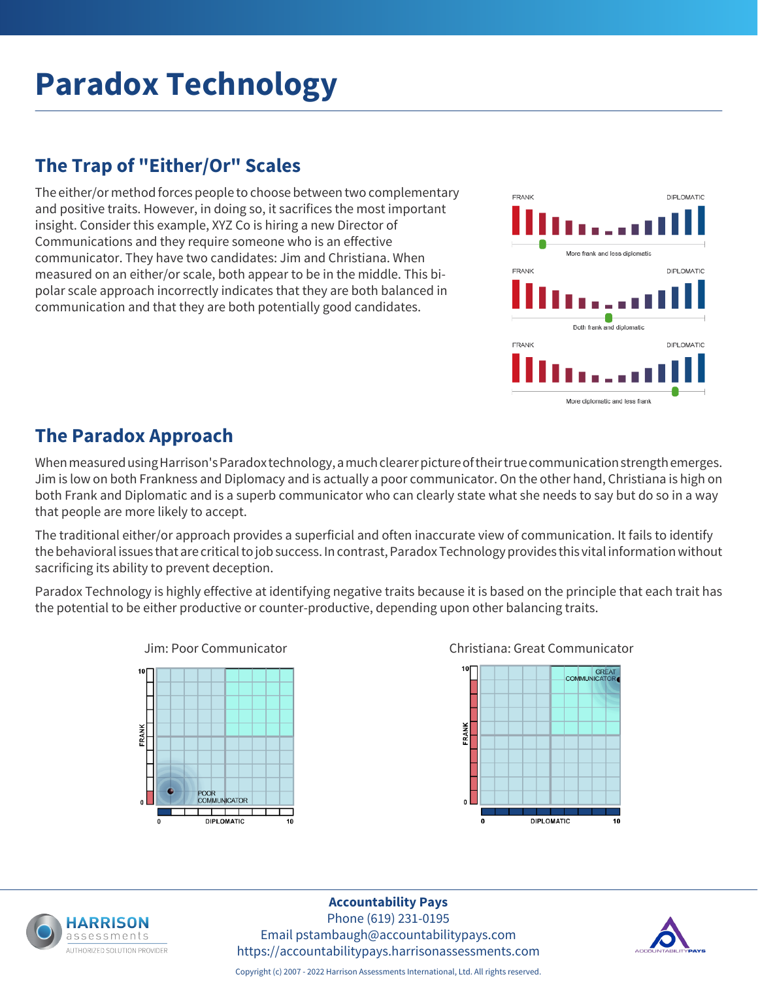## **Paradox Technology**

#### **The Trap of "Either/Or" Scales**

The either/or method forces people to choose between two complementary and positive traits. However, in doing so, it sacrifices the most important insight. Consider this example, XYZ Co is hiring a new Director of Communications and they require someone who is an effective communicator. They have two candidates: Jim and Christiana. When measured on an either/or scale, both appear to be in the middle. This bipolar scale approach incorrectly indicates that they are both balanced in communication and that they are both potentially good candidates.



#### **The Paradox Approach**

When measured using Harrison's Paradox technology, a much clearer picture of their true communication strength emerges. Jim is low on both Frankness and Diplomacy and is actually a poor communicator. On the other hand, Christiana is high on both Frank and Diplomatic and is a superb communicator who can clearly state what she needs to say but do so in a way that people are more likely to accept.

The traditional either/or approach provides a superficial and often inaccurate view of communication. It fails to identify the behavioral issues that are critical to job success. In contrast, Paradox Technology provides this vital information without sacrificing its ability to prevent deception.

Paradox Technology is highly effective at identifying negative traits because it is based on the principle that each trait has the potential to be either productive or counter-productive, depending upon other balancing traits.









#### **Accountability Pays**

Phone (619) 231-0195 Email pstambaugh@accountabilitypays.com https://accountabilitypays.harrisonassessments.com



Copyright (c) 2007 - 2022 Harrison Assessments International, Ltd. All rights reserved.